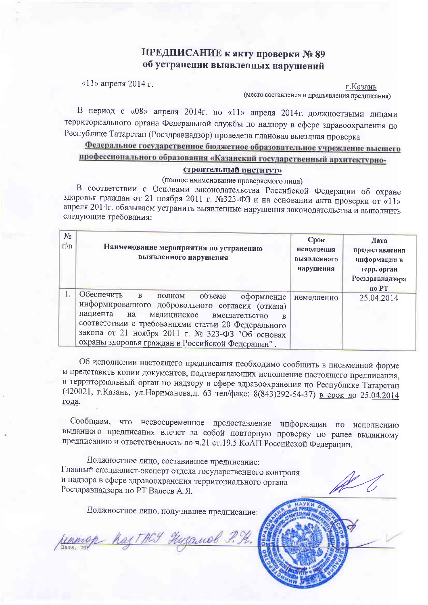### ПРЕДПИСАНИЕ к акту проверки № 89 об устранении выявленных нарушений

«11» апреля 2014 г.

г.Казань (место составления и предъявления предписания)

В период с «08» апреля 2014г. по «11» апреля 2014г. должностными лицами территориального органа Федеральной службы по надзору в сфере здравоохранения по Республике Татарстан (Росздравнадзор) проведена плановая выездная проверка

# Федеральное государственное бюджетное образовательное учреждение высшего профессионального образования «Казанский государственный архитектурно-

### строительный институт»

(полное наименование проверяемого лица)

В соответствии с Основами законодательства Российской Федерации об охране здоровья граждан от 21 ноября 2011 г. №323-ФЗ и на основании акта проверки от «11» апреля 2014г. обязываем устранить выявленные нарушения законодательства и выполнить следующие требования:

| No<br>$\pi\overline{m}$ | Наименование мероприятия по устранению<br>выявленного нарушения                                                                                                                                                                                                                                                                  | $C$ рок<br>исполнения<br>выявленного<br>нарушения | Дата<br>предоставления<br>информации в<br>терр. орган<br>Росздравнадзора<br>по РТ |
|-------------------------|----------------------------------------------------------------------------------------------------------------------------------------------------------------------------------------------------------------------------------------------------------------------------------------------------------------------------------|---------------------------------------------------|-----------------------------------------------------------------------------------|
|                         | Обеспечить<br>$\mathbf{B}$<br>объеме<br>полном<br>оформление<br>информированного добровольного согласия (отказа)<br>пациента<br>на<br>медицинское<br>вмешательство<br>соответствии с требованиями статьи 20 Федерального<br>закона от 21 ноября 2011 г. № 323-ФЗ "Об основах<br>охраны здоровья граждан в Российской Федерации". | немедленно                                        | 25.04.2014                                                                        |

Об исполнении настоящего предписания необходимо сообщить в письменной форме и представить копии документов, подтверждающих исполнение настоящего предписания, в территориальный орган по надзору в сфере здравоохранения по Республике Татарстан (420021, г. Казань, ул. Нариманова, д. 63 тел/факс: 8(843)292-54-37) в срок до 25.04.2014 года.

Сообщаем, что несвоевременное предоставление информации по исполнению выданного предписания влечет за собой повторную проверку по ранее выданному предписанию и ответственность по ч.21 ст.19.5 КоАП Российской Федерации.

Должностное лицо, составившее предписание: Главный специалист-эксперт отдела государственного контроля и надзора в сфере здравоохранения территориального органа Росздравнадзора по РТ Валеев А.Я.

Должностное лицо, получившее предписание:

<u> Иттер Каз ГНСУ Низанов Р. Н.</u>